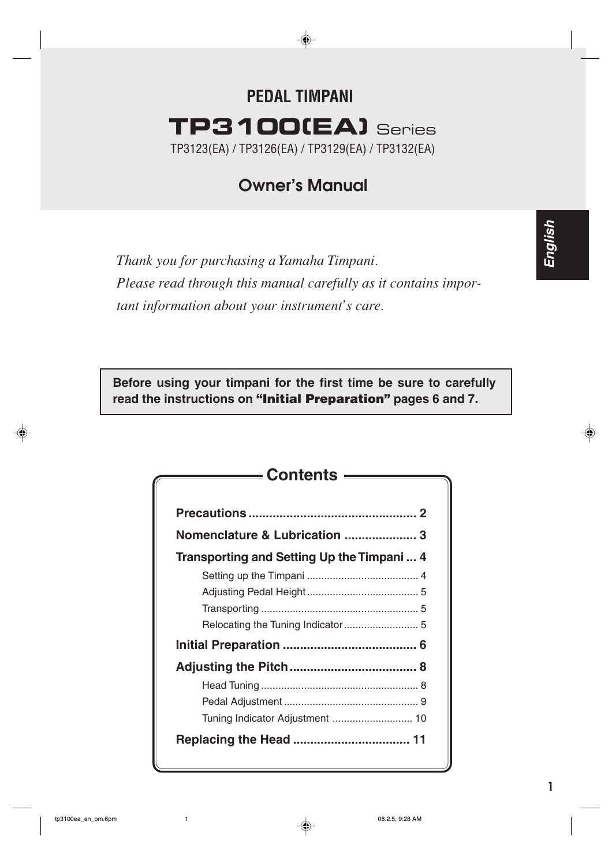# **PEDAL TIMPANI TP3100(EA)** Series TP3123(EA) / TP3126(EA) / TP3129(EA) / TP3132(EA)

# **Owner's Manual**

*Thank you for purchasing a Yamaha Timpani. Please read through this manual carefully as it contains important information about your instrument's care.*

**Before using your timpani for the first time be sure to carefully read the instructions on "Initial Preparation" pages 6 and 7.**

| ——— Contents ———                           |  |
|--------------------------------------------|--|
|                                            |  |
| Nomenclature & Lubrication  3              |  |
| Transporting and Setting Up the Timpani  4 |  |
|                                            |  |
|                                            |  |
|                                            |  |
|                                            |  |
|                                            |  |
|                                            |  |
|                                            |  |
|                                            |  |
|                                            |  |
|                                            |  |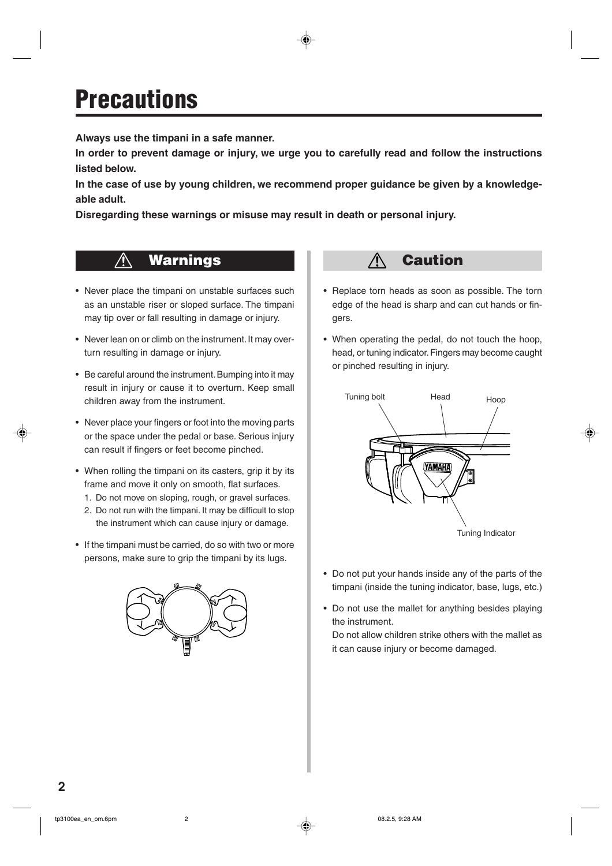# **Precautions**

**Always use the timpani in a safe manner.**

**In order to prevent damage or injury, we urge you to carefully read and follow the instructions listed below.**

**In the case of use by young children, we recommend proper guidance be given by a knowledgeable adult.**

**Disregarding these warnings or misuse may result in death or personal injury.**

#### $\bigwedge$ **Warnings**

- Never place the timpani on unstable surfaces such as an unstable riser or sloped surface. The timpani may tip over or fall resulting in damage or injury.
- Never lean on or climb on the instrument. It may overturn resulting in damage or injury.
- Be careful around the instrument. Bumping into it may result in injury or cause it to overturn. Keep small children away from the instrument.
- Never place your fingers or foot into the moving parts or the space under the pedal or base. Serious injury can result if fingers or feet become pinched.
- When rolling the timpani on its casters, grip it by its frame and move it only on smooth, flat surfaces.
	- 1. Do not move on sloping, rough, or gravel surfaces.
	- 2. Do not run with the timpani. It may be difficult to stop the instrument which can cause injury or damage.
- If the timpani must be carried, do so with two or more persons, make sure to grip the timpani by its lugs.



#### $\bigwedge$ **Caution**

- Replace torn heads as soon as possible. The torn edge of the head is sharp and can cut hands or fingers.
- When operating the pedal, do not touch the hoop, head, or tuning indicator. Fingers may become caught or pinched resulting in injury.



- Do not put your hands inside any of the parts of the timpani (inside the tuning indicator, base, lugs, etc.)
- Do not use the mallet for anything besides playing the instrument.

Do not allow children strike others with the mallet as it can cause injury or become damaged.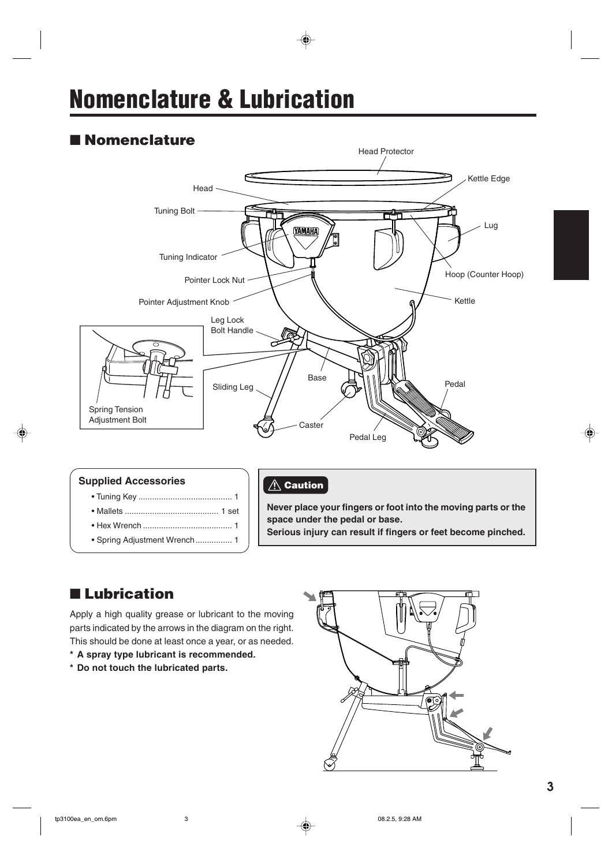# **Nomenclature & Lubrication**

## ■ **Nomenclature**



#### **Supplied Accessories**

- Tuning Key ......................................... 1
- Mallets ......................................... 1 set
- Hex Wrench ....................................... 1
- Spring Adjustment Wrench................ 1

#### **Caution**

**Never place your fingers or foot into the moving parts or the space under the pedal or base.**

**Serious injury can result if fingers or feet become pinched.**

## ■ **Lubrication**

Apply a high quality grease or lubricant to the moving parts indicated by the arrows in the diagram on the right. This should be done at least once a year, or as needed.

- **\* A spray type lubricant is recommended.**
- **\* Do not touch the lubricated parts.**

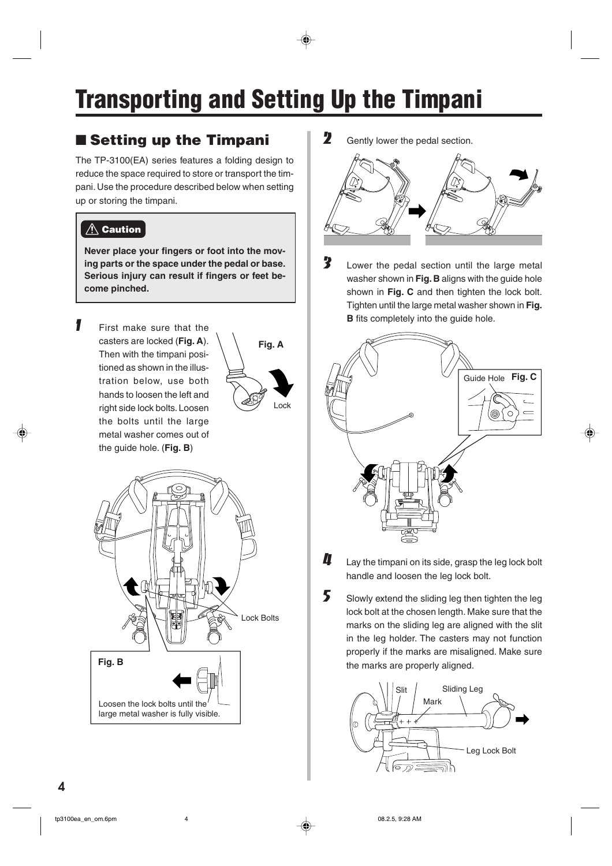# **Transporting and Setting Up the Timpani**

# ■ **Setting up the Timpani**

The TP-3100(EA) series features a folding design to reduce the space required to store or transport the timpani. Use the procedure described below when setting up or storing the timpani.

#### **Caution**

**Never place your fingers or foot into the moving parts or the space under the pedal or base. Serious injury can result if fingers or feet become pinched.**

**1** First make sure that the casters are locked (**Fig. A**). Then with the timpani positioned as shown in the illustration below, use both hands to loosen the left and right side lock bolts. Loosen the bolts until the large metal washer comes out of the guide hole. (**Fig. B**)





 $2<sup>o</sup>$  Gently lower the pedal section.



3 Lower the pedal section until the large metal washer shown in **Fig. B** aligns with the guide hole shown in **Fig. C** and then tighten the lock bolt. Tighten until the large metal washer shown in **Fig. B** fits completely into the guide hole.



- $\mathbf{I}$  Lay the timpani on its side, grasp the leg lock bolt handle and loosen the leg lock bolt.
- $5$  Slowly extend the sliding leg then tighten the leg lock bolt at the chosen length. Make sure that the marks on the sliding leg are aligned with the slit in the leg holder. The casters may not function properly if the marks are misaligned. Make sure the marks are properly aligned.

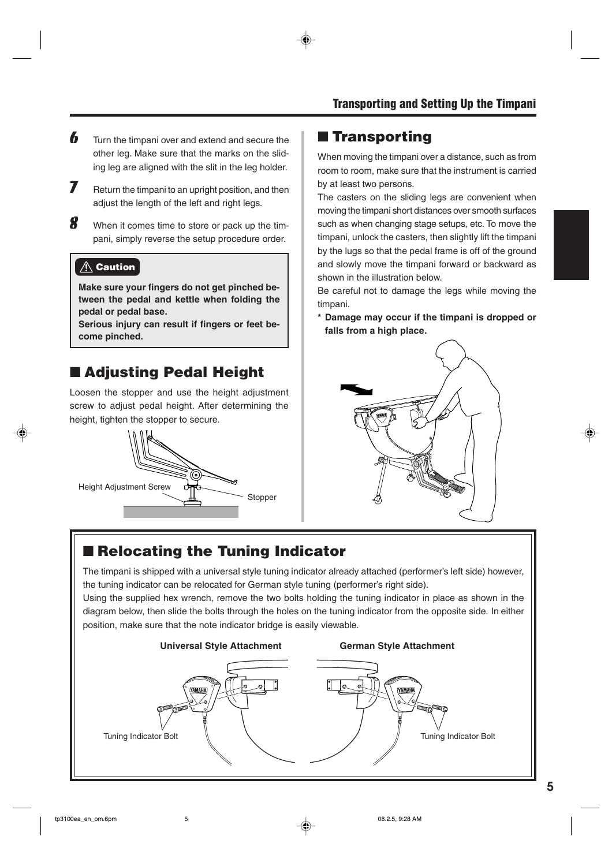- $\boldsymbol{b}$  Turn the timpani over and extend and secure the other leg. Make sure that the marks on the sliding leg are aligned with the slit in the leg holder.
- $\overline{J}$  Return the timpani to an upright position, and then adjust the length of the left and right legs.
- 8 When it comes time to store or pack up the timpani, simply reverse the setup procedure order.

#### $\triangle$  Caution

**Make sure your fingers do not get pinched between the pedal and kettle when folding the pedal or pedal base.**

**Serious injury can result if fingers or feet become pinched.**

## ■ **Adjusting Pedal Height**

Loosen the stopper and use the height adjustment screw to adjust pedal height. After determining the height, tighten the stopper to secure.



### ■ **Transporting**

When moving the timpani over a distance, such as from room to room, make sure that the instrument is carried by at least two persons.

The casters on the sliding legs are convenient when moving the timpani short distances over smooth surfaces such as when changing stage setups, etc. To move the timpani, unlock the casters, then slightly lift the timpani by the lugs so that the pedal frame is off of the ground and slowly move the timpani forward or backward as shown in the illustration below.

Be careful not to damage the legs while moving the timpani.

**\* Damage may occur if the timpani is dropped or falls from a high place.**



## ■ **Relocating the Tuning Indicator**

The timpani is shipped with a universal style tuning indicator already attached (performer's left side) however, the tuning indicator can be relocated for German style tuning (performer's right side).

Using the supplied hex wrench, remove the two bolts holding the tuning indicator in place as shown in the diagram below, then slide the bolts through the holes on the tuning indicator from the opposite side. In either position, make sure that the note indicator bridge is easily viewable.

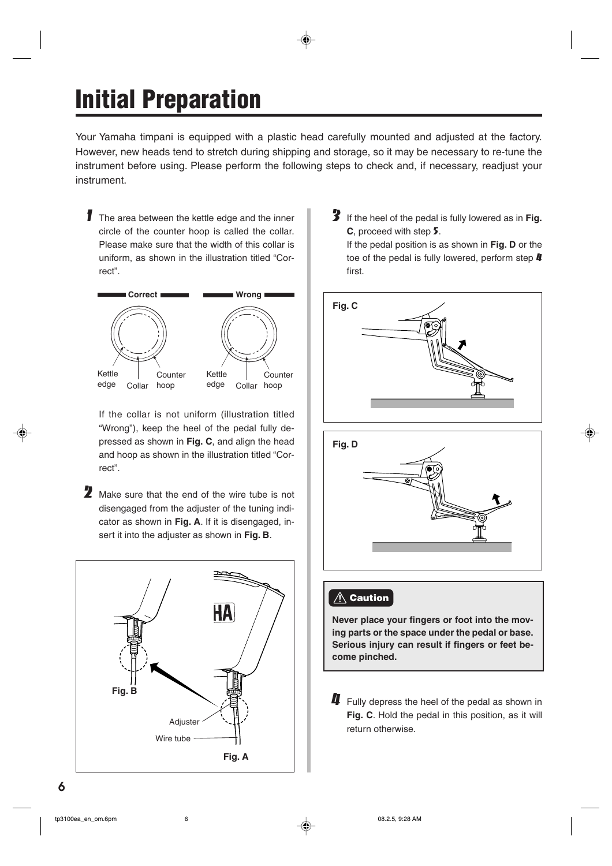# **Initial Preparation**

Your Yamaha timpani is equipped with a plastic head carefully mounted and adjusted at the factory. However, new heads tend to stretch during shipping and storage, so it may be necessary to re-tune the instrument before using. Please perform the following steps to check and, if necessary, readjust your instrument.

**1** The area between the kettle edge and the inner circle of the counter hoop is called the collar. Please make sure that the width of this collar is uniform, as shown in the illustration titled "Correct".



If the collar is not uniform (illustration titled "Wrong"), keep the heel of the pedal fully depressed as shown in **Fig. C**, and align the head and hoop as shown in the illustration titled "Correct".

2 Make sure that the end of the wire tube is not disengaged from the adjuster of the tuning indicator as shown in **Fig. A**. If it is disengaged, insert it into the adjuster as shown in **Fig. B**.



3 If the heel of the pedal is fully lowered as in **Fig. C**, proceed with step 5.

If the pedal position is as shown in **Fig. D** or the toe of the pedal is fully lowered, perform step  $\boldsymbol{I\!I}$ first.





### **<u>∧</u> Caution**

**Never place your fingers or foot into the moving parts or the space under the pedal or base. Serious injury can result if fingers or feet become pinched.**

 $\mathbf 4$  Fully depress the heel of the pedal as shown in **Fig. C**. Hold the pedal in this position, as it will return otherwise.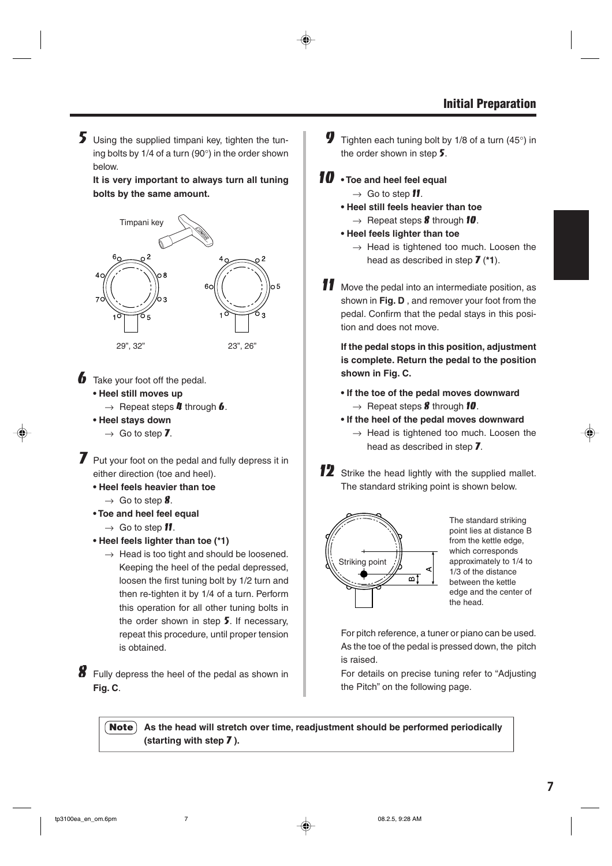5 Using the supplied timpani key, tighten the tuning bolts by 1/4 of a turn (90°) in the order shown below.

**It is very important to always turn all tuning bolts by the same amount.**



 $\bullet$  Take your foot off the pedal.

**• Heel still moves up**

 $\rightarrow$  Repeat steps **4** through **6**.

- **Heel stays down**
	- $\rightarrow$  Go to step 7.

**7** Put your foot on the pedal and fully depress it in either direction (toe and heel).

- **Heel feels heavier than toe**
	- $\rightarrow$  Go to step 8.
- **Toe and heel feel equal**
	- $\rightarrow$  Go to step **11.**
- **Heel feels lighter than toe (\*1)**
	- $\rightarrow$  Head is too tight and should be loosened. Keeping the heel of the pedal depressed, loosen the first tuning bolt by 1/2 turn and then re-tighten it by 1/4 of a turn. Perform this operation for all other tuning bolts in the order shown in step 5. If necessary, repeat this procedure, until proper tension is obtained.

8 Fully depress the heel of the pedal as shown in **Fig. C**.

- **9** Tighten each tuning bolt by 1/8 of a turn (45 $\degree$ ) in the order shown in step  $5$ .
- 10  **Toe and heel feel equal** 
	- $\rightarrow$  Go to step **11**.
	- **Heel still feels heavier than toe**  $\rightarrow$  Repeat steps **8** through **10**.
	- **Heel feels lighter than toe**
		- $\rightarrow$  Head is tightened too much. Loosen the head as described in step 7 (**\*1**).
- 11 Move the pedal into an intermediate position, as shown in **Fig. D** , and remover your foot from the pedal. Confirm that the pedal stays in this position and does not move.

**If the pedal stops in this position, adjustment is complete. Return the pedal to the position shown in Fig. C.**

- **If the toe of the pedal moves downward**  $\rightarrow$  Repeat steps **8** through **10**.
- **If the heel of the pedal moves downward**
	- $\rightarrow$  Head is tightened too much. Loosen the head as described in step 7.
- 12 Strike the head lightly with the supplied mallet. The standard striking point is shown below.



The standard striking point lies at distance B from the kettle edge, which corresponds approximately to 1/4 to 1/3 of the distance between the kettle edge and the center of the head.

For pitch reference, a tuner or piano can be used. As the toe of the pedal is pressed down, the pitch is raised.

For details on precise tuning refer to "Adjusting the Pitch" on the following page.

**Note** As the head will stretch over time, readjustment should be performed periodically **(starting with step** 7 **).**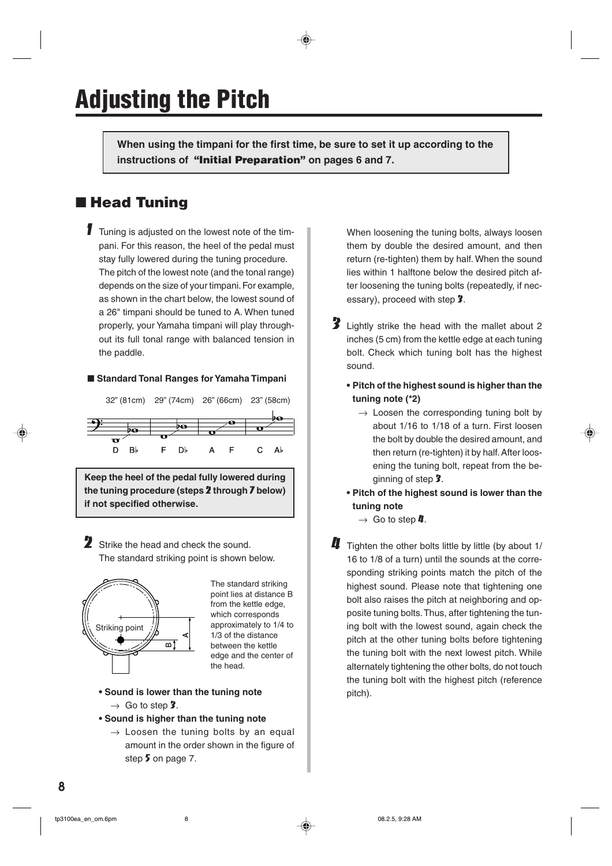**When using the timpani for the first time, be sure to set it up according to the instructions of "Initial Preparation" on pages 6 and 7.**

### ■ **Head Tuning**

**1** Tuning is adjusted on the lowest note of the timpani. For this reason, the heel of the pedal must stay fully lowered during the tuning procedure. The pitch of the lowest note (and the tonal range) depends on the size of your timpani. For example, as shown in the chart below, the lowest sound of a 26" timpani should be tuned to A. When tuned properly, your Yamaha timpani will play throughout its full tonal range with balanced tension in the paddle.

#### ■ **Standard Tonal Ranges for Yamaha Timpani**



**Keep the heel of the pedal fully lowered during the tuning procedure (steps** 2 **through** 7 **below) if not specified otherwise.**

2 Strike the head and check the sound. The standard striking point is shown below.



The standard striking point lies at distance B from the kettle edge, which corresponds approximately to 1/4 to 1/3 of the distance between the kettle edge and the center of the head.

- **Sound is lower than the tuning note**
	- $\rightarrow$  Go to step 3.
- **Sound is higher than the tuning note**
	- $\rightarrow$  Loosen the tuning bolts by an equal amount in the order shown in the figure of step 5 on page 7.

When loosening the tuning bolts, always loosen them by double the desired amount, and then return (re-tighten) them by half. When the sound lies within 1 halftone below the desired pitch after loosening the tuning bolts (repeatedly, if necessary), proceed with step 3.

- 3 Lightly strike the head with the mallet about 2 inches (5 cm) from the kettle edge at each tuning bolt. Check which tuning bolt has the highest sound.
	- **• Pitch of the highest sound is higher than the tuning note (\*2)**
		- $\rightarrow$  Loosen the corresponding tuning bolt by about 1/16 to 1/18 of a turn. First loosen the bolt by double the desired amount, and then return (re-tighten) it by half. After loosening the tuning bolt, repeat from the beginning of step 3.
	- **• Pitch of the highest sound is lower than the tuning note**
		- $\rightarrow$  Go to step  $\mu$ .
- $\blacksquare$  Tighten the other bolts little by little (by about 1/ 16 to 1/8 of a turn) until the sounds at the corresponding striking points match the pitch of the highest sound. Please note that tightening one bolt also raises the pitch at neighboring and opposite tuning bolts. Thus, after tightening the tuning bolt with the lowest sound, again check the pitch at the other tuning bolts before tightening the tuning bolt with the next lowest pitch. While alternately tightening the other bolts, do not touch the tuning bolt with the highest pitch (reference pitch).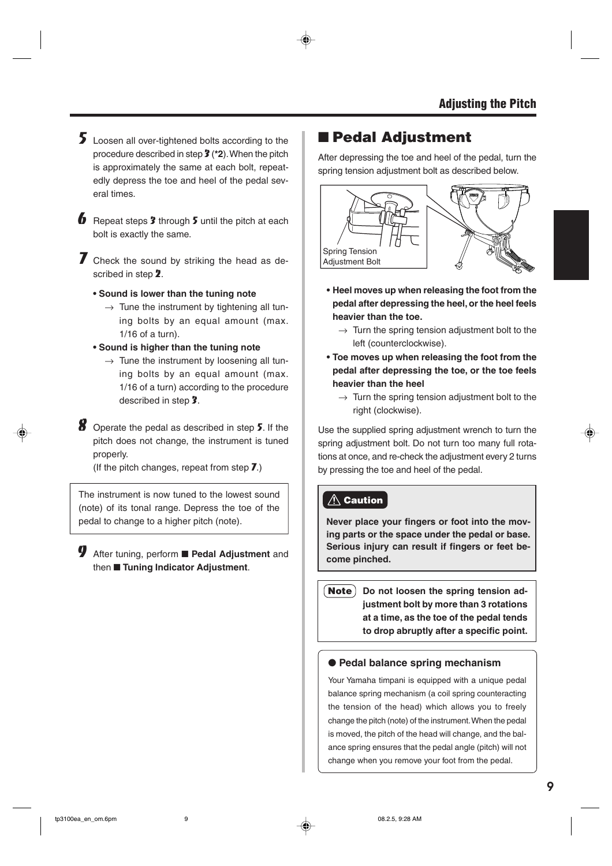- 5 Loosen all over-tightened bolts according to the procedure described in step 3 (**\*2**). When the pitch is approximately the same at each bolt, repeatedly depress the toe and heel of the pedal several times.
- **6** Repeat steps  $\hat{\mathbf{z}}$  through  $\hat{\mathbf{z}}$  until the pitch at each bolt is exactly the same.

 $\overline{J}$  Check the sound by striking the head as described in step 2.

- **• Sound is lower than the tuning note**
	- $\rightarrow$  Tune the instrument by tightening all tuning bolts by an equal amount (max. 1/16 of a turn).
- **• Sound is higher than the tuning note**
	- $\rightarrow$  Tune the instrument by loosening all tuning bolts by an equal amount (max. 1/16 of a turn) according to the procedure described in step 3.
- $8$  Operate the pedal as described in step  $5$ . If the pitch does not change, the instrument is tuned properly.

(If the pitch changes, repeat from step  $\overline{J}$ .)

The instrument is now tuned to the lowest sound (note) of its tonal range. Depress the toe of the pedal to change to a higher pitch (note).

9 After tuning, perform ■ **Pedal Adjustment** and then ■ **Tuning Indicator Adjustment**.

### ■ **Pedal Adjustment**

After depressing the toe and heel of the pedal, turn the spring tension adjustment bolt as described below.



- **• Heel moves up when releasing the foot from the pedal after depressing the heel, or the heel feels heavier than the toe.**
	- $\rightarrow$  Turn the spring tension adjustment bolt to the left (counterclockwise).
- **Toe moves up when releasing the foot from the pedal after depressing the toe, or the toe feels heavier than the heel**
	- $\rightarrow$  Turn the spring tension adjustment bolt to the right (clockwise).

Use the supplied spring adjustment wrench to turn the spring adjustment bolt. Do not turn too many full rotations at once, and re-check the adjustment every 2 turns by pressing the toe and heel of the pedal.

#### **Caution**

**Never place your fingers or foot into the moving parts or the space under the pedal or base. Serious injury can result if fingers or feet become pinched.**

**Note** Do not loosen the spring tension ad**justment bolt by more than 3 rotations at a time, as the toe of the pedal tends to drop abruptly after a specific point.**

#### ● **Pedal balance spring mechanism**

Your Yamaha timpani is equipped with a unique pedal balance spring mechanism (a coil spring counteracting the tension of the head) which allows you to freely change the pitch (note) of the instrument. When the pedal is moved, the pitch of the head will change, and the balance spring ensures that the pedal angle (pitch) will not change when you remove your foot from the pedal.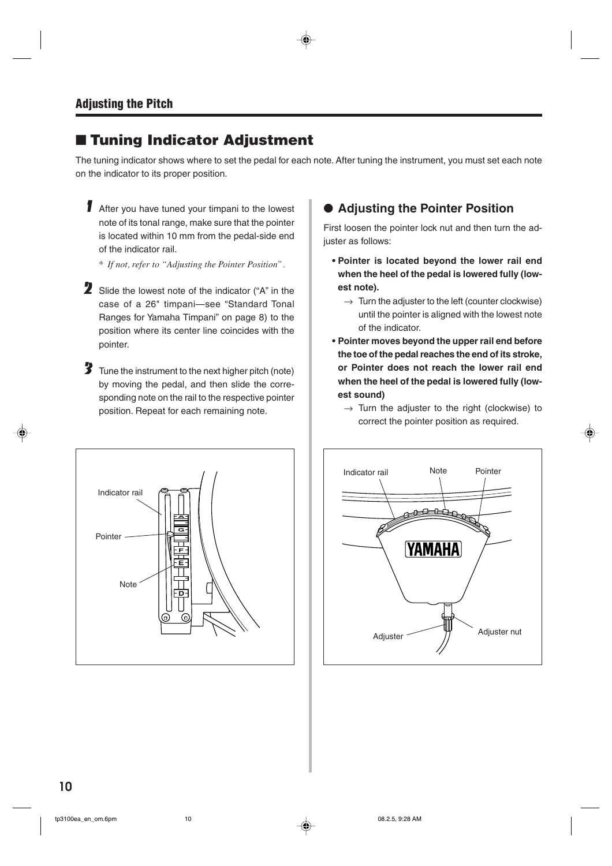### ■ **Tuning Indicator Adjustment**

The tuning indicator shows where to set the pedal for each note. After tuning the instrument, you must set each note on the indicator to its proper position.

1 After you have tuned your timpani to the lowest note of its tonal range, make sure that the pointer is located within 10 mm from the pedal-side end of the indicator rail.

*\* If not, refer to "Adjusting the Pointer Position".*

- 2 Slide the lowest note of the indicator ("A" in the case of a 26" timpani—see "Standard Tonal Ranges for Yamaha Timpani" on page 8) to the position where its center line coincides with the pointer.
- 3 Tune the instrument to the next higher pitch (note) by moving the pedal, and then slide the corresponding note on the rail to the respective pointer position. Repeat for each remaining note.



#### ● **Adjusting the Pointer Position**

First loosen the pointer lock nut and then turn the adjuster as follows:

- **Pointer is located beyond the lower rail end when the heel of the pedal is lowered fully (lowest note).**
	- $\rightarrow$  Turn the adjuster to the left (counter clockwise) until the pointer is aligned with the lowest note of the indicator.
- **Pointer moves beyond the upper rail end before the toe of the pedal reaches the end of its stroke, or Pointer does not reach the lower rail end when the heel of the pedal is lowered fully (lowest sound)**
	- $\rightarrow$  Turn the adjuster to the right (clockwise) to correct the pointer position as required.